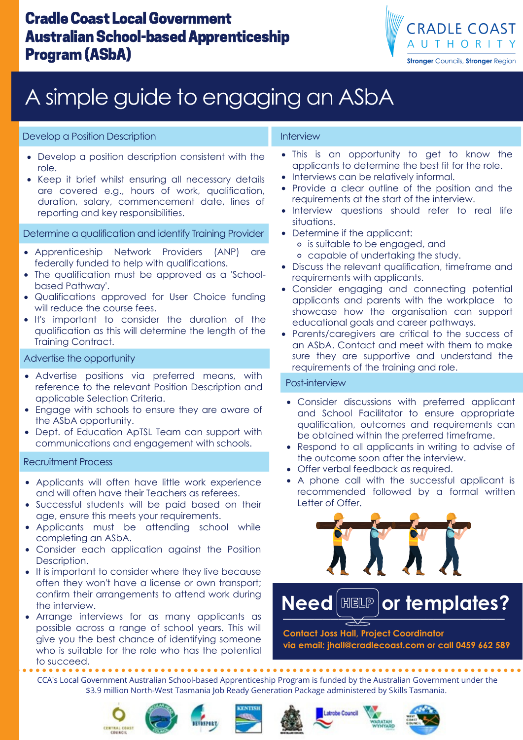### CradleCoast LocalGovernment **Australian School-based Apprenticeship** Program(ASbA)



# A simple guide to engaging an ASbA

#### Develop a Position Description

- Develop a position description consistent with the role.
- Keep it brief whilst ensuring all necessary details are covered e.g., hours of work, qualification, duration, salary, commencement date, lines of reporting and key responsibilities.

Determine a qualification and identify Training Provider

- Apprenticeship Network Providers (ANP) are federally funded to help with qualifications.
- The qualification must be approved as a 'Schoolbased Pathway'.
- Qualifications approved for User Choice funding will reduce the course fees.
- It's important to consider the duration of the qualification as this will determine the length of the Training Contract.

#### Advertise the opportunity

- Advertise positions via preferred means, with reference to the relevant Position Description and applicable Selection Criteria.
- Engage with schools to ensure they are aware of the ASbA opportunity.
- Dept. of Education ApTSL Team can support with  $\bullet$ communications and engagement with schools.

#### Recruitment Process

- Applicants will often have little work experience and will often have their Teachers as referees.
- Successful students will be paid based on their age, ensure this meets your requirements.
- Applicants must be attending school while completing an ASbA.
- Consider each application against the Position Description.
- It is important to consider where they live because often they won't have a license or own transport; confirm their arrangements to attend work during the interview.
- Arrange interviews for as many applicants as possible across a range of school years. This will give you the best chance of identifying someone who is suitable for the role who has the potential to succeed.

#### Interview

- This is an opportunity to get to know the applicants to determine the best fit for the role.
- Interviews can be relatively informal.
- Provide a clear outline of the position and the requirements at the start of the interview.
- Interview questions should refer to real life situations.
- Determine if the applicant:
	- is suitable to be engaged, and
	- capable of undertaking the study.
- Discuss the relevant qualification, timeframe and requirements with applicants.
- Consider engaging and connecting potential applicants and parents with the workplace to showcase how the organisation can support educational goals and career pathways.
- Parents/caregivers are critical to the success of an ASbA. Contact and meet with them to make sure they are supportive and understand the requirements of the training and role.

#### Post-interview

- Consider discussions with preferred applicant and School Facilitator to ensure appropriate qualification, outcomes and requirements can be obtained within the preferred timeframe.
- Respond to all applicants in writing to advise of the outcome soon after the interview.
- Offer verbal feedback as required.
- A phone call with the successful applicant is recommended followed by a formal written Letter of Offer.



### **Need or templates? THEED PRESS :**

**Contact Joss Hall, Project Coordinator via email: jhall@cradlecoast.com or call 0459 662 589**

CCA's Local Government Australian School-based Apprenticeship Program is funded by the Australian Government under the \$3.9 million North-West Tasmania Job Ready Generation Package administered by Skills Tasmania.









trobe Council